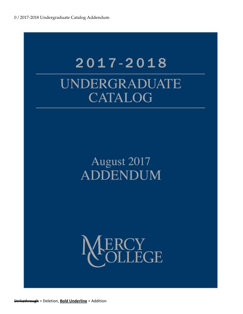# 2017-2018 UNDERGRADUATE **CATALOG**

## August 2017 **ADDENDUM**



Strikethrough = Deletion, **Bold Underline** = Addition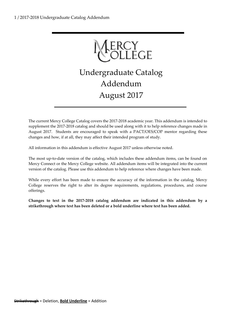ERCY<br>OLLEGE

Undergraduate Catalog Addendum August 2017

The current Mercy College Catalog covers the 2017-2018 academic year. This addendum is intended to supplement the 2017-2018 catalog and should be used along with it to help reference changes made in August 2017. Students are encouraged to speak with a PACT/OES/COP mentor regarding these changes and how, if at all, they may affect their intended program of study.

All information in this addendum is effective August 2017 unless otherwise noted.

The most up-to-date version of the catalog, which includes these addendum items, can be found on Mercy Connect or the Mercy College website. All addendum items will be integrated into the current version of the catalog. Please use this addendum to help reference where changes have been made.

While every effort has been made to ensure the accuracy of the information in the catalog, Mercy College reserves the right to alter its degree requirements, regulations, procedures, and course offerings.

**Changes to text in the 2017-2018 catalog addendum are indicated in this addendum by a strikethrough where text has been deleted or a bold underline where text has been added.**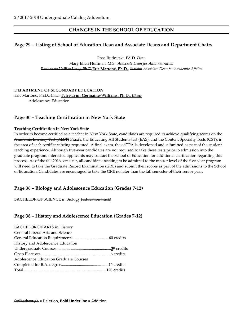## **CHANGES IN THE SCHOOL OF EDUCATION**

## **Page 29 – Listing of School of Education Dean and Associate Deans and Department Chairs**

Rose Rudnitski, **Ed.D.** *Dean*

Mary Ellen Hoffman, M.S., *Associate Dean for Administration* Roseanne Vallice Levy, Ph.D **Eric Martone, Ph.D.**, *Interim Associate Dean for Academic Affairs*

**DEPARTMENT OF SECONDARY EDUCATION** Eric Martone, Ph.D., *Chair* **Terri-Lynn Germaine-Williams, Ph.D.,** *Chair* Adolescence Education

## **Page 30 – Teaching Certification in New York State**

#### **Teaching Certification in New York State**

In order to become certified as a teacher in New York State, candidates are required to achieve qualifying scores on the Academic Literacy Test (ALST) **Praxis**, the Educating All Students test (EAS), and the Content Specialty Tests (CST), in the area of each certificate being requested. A final exam, the edTPA is developed and submitted as part of the student teaching experience. Although five-year candidates are not required to take these tests prior to admission into the graduate program, interested applicants may contact the School of Education for additional clarification regarding this process. As of the fall 2016 semester, all candidates seeking to be admitted to the master level of the five-year program will need to take the Graduate Record Examination (GRE) and submit their scores as part of the admissions to the School of Education. Candidates are encouraged to take the GRE no later than the fall semester of their senior year.

#### **Page 36 – Biology and Adolescence Education (Grades 7-12)**

BACHELOR OF SCIENCE in Biology (Education track)

#### **Page 38 – History and Adolescence Education (Grades 7-12)**

| <b>BACHELOR OF ARTS in History</b>     |  |
|----------------------------------------|--|
| General Liberal Arts and Science       |  |
|                                        |  |
| History and Adolescence Education      |  |
|                                        |  |
|                                        |  |
| Adolescence Education Graduate Courses |  |
|                                        |  |
|                                        |  |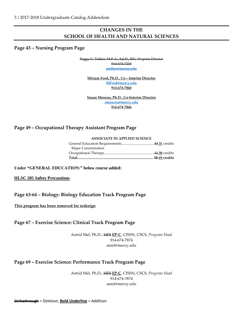## **CHANGES IN THE SCHOOL OF HEALTH AND NATURAL SCIENCES**

#### **Page 43 – Nursing Program Page**

Peggy C. Tallier, M.P.A., Ed.D., RN, *Program Director* 914-674-7218

[ptallier@mercy.edu](mailto:ptallier@mercy.edu)

**Miriam Ford, Ph.D., Co—Interim Director [MFord@mercy.edu](mailto:MFord@mercy.edu) 914-674-7860**

**Susan Moscou, Ph.D., Co-Interim Director [smoscou@mercy.edu](mailto:smoscou@mercy.edu) 914-674-7866**

## **Page 49 – Occupational Therapy Assistant Program Page**

#### **ASSOCIATE IN APPLIED SCIENCE**

| Major Concentration |  |
|---------------------|--|
|                     |  |
|                     |  |

#### **Under "GENERAL EDUCATION:" below course added:**

**HLSC 205 Safety Precautions**

## **Page 63-64 – Biology: Biology Education Track Program Page**

**This program has been removed for redesign**

## **Page 67 – Exercise Science: Clinical Track Program Page**

Astrid Mel, Ph.D., HFS **EP-C**, CISSN, CSCS, *Program Head* 914-674-7874 amel@mercy.edu

## **Page 69 – Exercise Science: Performance Track Program Page**

Astrid Mel, Ph.D., HFS **EP-C**, CISSN, CSCS, *Program Head* 914-674-7874 amel@mercy.edu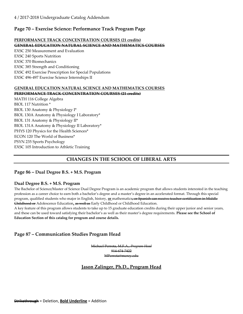## 4 / 2017-2018 Undergraduate Catalog Addendum

## **Page 70 – Exercise Science: Performance Track Program Page**

#### **PERFORMANCE TRACK CONCENTRATION COURSES (21 credits)**

#### **GENERAL EDUCATION NATURAL SCIENCE AND MATHEMATICS COURSES**

EXSC 250 Measurement and Evaluation EXSC 240 Sports Nutrition EXSC 370 Biomechanics EXSC 385 Strength and Conditioning EXSC 492 Exercise Prescription for Special Populations EXSC 496-497 Exercise Science Internships II

#### **GENERAL EDUCATION NATURAL SCIENCE AND MATHEMATICS COURSES PERFORMANCE TRACK CONCENTRATION COURSES (21 credits)**

MATH 116 College Algebra BIOL 117 Nutrition \* BIOL 130 Anatomy & Physiology I\* BIOL 130A Anatomy & Physiology I Laboratory\* BIOL 131 Anatomy & Physiology II\* BIOL 131A Anatomy & Physiology II Laboratory\* PHYS 120 Physics for the Health Sciences\* ECON 120 The World of Business\* PSYN 235 Sports Psychology EXSC 105 Introduction to Athletic Training

## **CHANGES IN THE SCHOOL OF LIBERAL ARTS**

#### **Page 86 – Dual Degree B.S. + M.S. Program**

#### **Dual Degree B.S. + M.S. Program**

The Bachelor of Science/Master of Science Dual Degree Program is an academic program that allows students interested in the teaching profession as a career choice to earn both a bachelor's degree and a master's degree in an accelerated format. Through this special program, qualified students who major in English, history, **or** mathematics, or Spanish can receive teacher certification in Middle Childhood or Adolescence Education**,** as well as Early Childhood or Childhood Education.

A key feature of this program allows students to take up to 15 graduate education credits during their upper junior and senior years, and these can be used toward satisfying their bachelor's as well as their master's degree requirements. **Please see the School of Education Section of this catalog for program and course details.**

## **Page 87 – Communication Studies Program Head**

Michael Perrota, M.F.A., *Program Head*

914-674-7422

MPerrota@mercy.edu

## **Jason Zalinger, Ph.D., Program Head**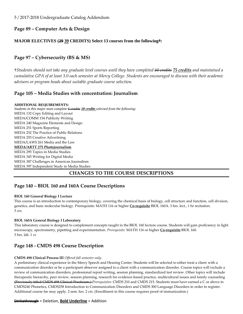5 / 2017-2018 Undergraduate Catalog Addendum

## **Page 89 – Computer Arts & Design**

## **MAJOR ELECTIVES (29 39 CREDITS) Select 13 courses from the following\*:**

## **Page 97 – Cybersecurity (BS & MS)**

†*Students should not take any graduate level courses until they have completed 60 credits 75 credits and maintained a cumulative GPA of at least 3.0 each semester at Mercy College. Students are encouraged to discuss with their academic advisors or program heads about suitable graduate course selection.*

## **Page 105 – Media Studies with concentration: Journalism**

#### **ADDITIONAL REQUIREMENTS:**

*Students in this major must complete 6 credits 18 credits selected from the following:* MEDA 132 Copy Editing and Layout MEDA/COMM 154 Publicity Writing MEDA 240 Magazine Elements and Design MEDA 251 Sports Reporting MEDA 252 The Practice of Public Relations MEDA 255 Creative Advertising MEDA/LAWS 261 Media and the Law **MEDA/ARTT 275 Photojournalism** MEDA 295 Topics in Media Studies MEDA 345 Writing for Digital Media MEDA 387 Challenges in American Journalism MEDA 397 Independent Study in Media Studies

## **CHANGES TO THE COURSE DESCRIPTIONS**

## **Page 140 – BIOL 160 and 160A Course Descriptions**

#### **BIOL 160 General Biology I Lecture**

This course is an introduction to contemporary biology, covering the chemical basis of biology, cell structure and function, cell division, genetics, and basic molecular biology. Prerequisite: MATH 116 or higher **Co-requisite** BIOL 160A. 3 hrs. lect., 1 hr recitation. 3 crs.

#### **BIOL 160A General Biology I Laboratory**

This laboratory course is designed to complement concepts taught in the BIOL 160 lecture course. Students will gain proficiency in light microscopy, spectrometry, pipetting and experimentation. *Prerequisite:* MATH 116 or higher **Co-requisite** BIOL 160. 3 hrs. lab. 1 cr.

## **Page 148 - CMDS 498 Course Description**

#### **CMDS 498 Clinical Process III** *Offered fall semester only.*

A preliminary clinical experience in the Mercy Speech and Hearing Center. Students will be selected to either treat a client with a communication disorder or be a participant observer assigned to a client with a communication disorder. Course topics will include a review of communication disorders, professional report writing, session planning, standardized test review. Other topics will include therapeutic hierarchy, peer review, session planning, research for evidence-based practice, multicultural issues and family counseling (Previously titled CMDS 498 Clinical Practicum.) *Prerequisites:* CMDS 210 and CMDS 215. Students must have earned a C or above in CMDS240 Phonetics, CMDS258 Introduction to Communication Disorders and CMDS 300 Language Disorders in order to register. Additional course fee may apply. 2 sem. hrs. 2 crs. (Enrollment in this course requires proof of immunization.)

#### Strikethrough = Deletion, **Bold Underline** = Addition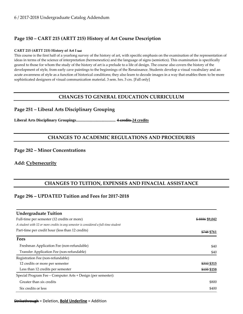## **Page 150 – CART 215 (ARTT 215) History of Art Course Description**

#### **CART 215 (ARTT 215) History of Art I (cc)**

This course is the first half of a yearlong survey of the history of art, with specific emphasis on the examination of the representation of ideas in terms of the science of interpretation (hermeneutics) and the language of signs (semiotics). This examination is specifically geared to those for whom the study of the history of art is a prelude to a life of design. The course also covers the history of the development of style, from early cave paintings to the beginnings of the Renaissance. Students develop a visual vocabulary and an acute awareness of style as a function of historical conditions; they also learn to decode images in a way that enables them to be more sophisticated designers of visual communication material. 3 sem. hrs. 3 crs. [Fall only]

## **CHANGES TO GENERAL EDUCATION CURRICULUM**

## **Page 251 – Liberal Arts Disciplinary Grouping**

**Liberal Arts Disciplinary Groupings........................................ 4 credits 24 credits**

## **CHANGES TO ACADEMIC REGULATIONS AND PROCEDURES**

#### **Page 282 – Minor Concentrations**

#### **Add: Cybersecurity**

## **CHANGES TO TUITION, EXPENSES AND FINACIAL ASSISTANCE**

## **Page 296 – UPDATED Tuition and Fees for 2017-2018**

| <b>Undergraduate Tuition</b>                                                        |                |  |
|-------------------------------------------------------------------------------------|----------------|--|
| Full-time per semester (12 credits or more)                                         | \$8886 \$9,042 |  |
| A student with 12 or more credits in any semester is considered a full-time student | \$748 \$761    |  |
| Part-time per credit hour (less than 12 credits)                                    |                |  |
| <b>Fees</b>                                                                         |                |  |
| Freshman Application Fee (non-refundable)                                           | \$40           |  |
| Transfer Application Fee (non-refundable)                                           | \$40           |  |
| Registration Fee (non-refundable)                                                   |                |  |
| 12 credits or more per semester                                                     | \$310 \$315    |  |
| Less than 12 credits per semester                                                   | \$155 \$158    |  |
| Special Program Fee – Computer Arts + Design (per semester):                        |                |  |
| Greater than six credits                                                            | \$800          |  |
| Six credits or less                                                                 | \$400          |  |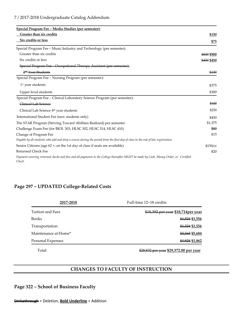| <u> Special Program Fee – Media Studies (per semester):</u>                                                                                    |             |
|------------------------------------------------------------------------------------------------------------------------------------------------|-------------|
| Greater than six credits                                                                                                                       | \$150       |
| Six credits or less                                                                                                                            | \$75        |
| Special Program Fee - Music Industry and Technology (per semester):                                                                            |             |
| Greater than six credits                                                                                                                       | \$800 \$900 |
| Six credits or less                                                                                                                            | \$400 \$450 |
| Special Program Fee - Occupational Therapy Assistant (per semester):                                                                           |             |
| 2 <sup>nd</sup> Year Students                                                                                                                  | \$100       |
| Special Program Fee - Nursing Program (per semester):                                                                                          |             |
| $1st$ year students                                                                                                                            | \$375       |
| Upper level students                                                                                                                           | \$300       |
| Special Program Fee - Clinical Laboratory Science Program (per semester):                                                                      |             |
| Clinical Lab Science                                                                                                                           | \$100       |
| Clinical Lab Science 4 <sup>th</sup> year students                                                                                             | \$250       |
| International Student Fee (new students only)                                                                                                  | \$450       |
| The STAR Program (Striving Toward Abilities Realized) per semester                                                                             | \$1,375     |
| Challenge Exam Fee (for BIOL 303, HLSC 302, HLSC 314, HLSC 410)                                                                                | \$80        |
| Change of Program Fee                                                                                                                          | \$15        |
| Payable by all students who add and drop a course during the period from the first day of class to the end of late registration.               |             |
| Senior Citizens (age 62 +; on the 1st day of class if seats are available)                                                                     | \$150/cr    |
| <b>Returned Check Fee</b>                                                                                                                      | \$20        |
| Payment covering returned checks and fees and all payments to the College thereafter MUST be made by Cash, Money Order, or Certified<br>Check. |             |

## **Page 297 – UPDATED College-Related Costs**

| 2017-2018            | Full-time 12–18 credits             |
|----------------------|-------------------------------------|
| Tuition and Fees     | \$18,392 per year \$18,714 per year |
| <b>Books</b>         | \$1,524 \$1,556                     |
| Transportation       | \$1,524 \$1,556                     |
| Maintenance at Home* | \$5,568 \$5,684                     |
| Personal Expenses    | \$1,824 \$1,862                     |

Total \$28,832 per year **\$29,372.00 per year**

## **CHANGES TO FACULTY OF INSTRUCTION**

**Page 322 – School of Business Faculty**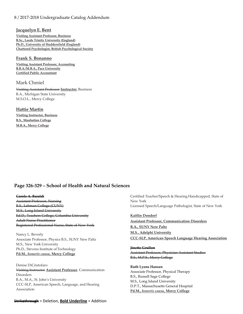#### 8 / 2017-2018 Undergraduate Catalog Addendum

#### **Jacquelyn E. Bent**

**Visiting Assistant Professor, Business B.Sc., Leeds Trinity University (England) Ph.D., University of Huddersfield (England) Chartered Psychologist, British Psychological Society** 

#### **Frank S. Bonanno**

**Visiting Assistant Professor, Accounting B.B.A./M.B.A., Pace University Certified Public Accountant**

#### Mark Chmiel

Visiting Assistant Professor **Instructor**, Business B.A., Michigan State University M.S.O.L., Mercy College

#### **Hattie Martin**

**Visiting Instructor, Business B.S., Manhattan College M.B.A., Mercy College**

#### **Page 326-329 – School of Health and Natural Sciences**

**Carole A. Baraldi** Assistant Professor, Nursing B.S., Lehman College (CUNY) M.S., Long Island University Ed.D., Teachers College, Columbia University Adult Nurse Practitioner Registered Professional Nurse, State of New York

Nancy L. Beverly Associate Professor, Physics B.S., SUNY New Paltz M.S., New York University Ph.D., Stevens Institute of Technology **Pd.M.,** *honoris causa***, Mercy College**

Denise DiCristofaro Visiting Instructor **Assistant Professor**, Communication Disorders B.A., M.A., St. John's University CCC-SLP, American Speech, Language, and Hearing Association

Certified Teacher/Speech & Hearing Handicapped, State of New York Licensed Speech/Language Pathologist, State of New York

**Kaitlin Dondorf Assistant Professor, Communication Disorders B.A., SUNY New Paltz M.S., Adelphi University CCC-SLP, American Speech Language Hearing Association**

**Jinette Grullon** Assistant Professor, Physician Assistant Studies B.S., M.P.S., Mercy College

**Ruth Lyons Hansen** Associate Professor, Physical Therapy B.S., Russell Sage College M.S., Long Island University D.P.T., Massachusetts General Hospital **Pd.M.,** *honoris causa***, Mercy College**

#### Strikethrough = Deletion, **Bold Underline** = Addition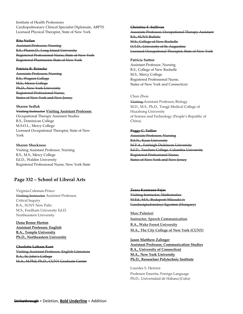Institute of Health Professions Cardiopulmonary Clinical Specialist Diplomate, ABPTS Licensed Physical Therapist, State of New York

#### **Rita Neilan**

Assistant Professor, Nursing B.S., Pharm.D., Long Island Uni Registered Professional Nurse, State Registered Pharmacist, State of New York

**Patricia R. Reineke** Associate Professor, Nursing B.S., Wagner College M.S., Mercy College Ph.D., New York University **Registered Professional Nurs** States of New York and New Jers

#### **Sharon Sedlak**

Visiting Instructor **Visiting Assistant Professor**, Occupational Therapy Assistant Studies B.S., Dominican College M.S.O.L., Mercy College Licensed Occupational Therapist, State of New York

**Sharon Shockness** Visiting Assistant Professor, Nursing B.S., M.S., Mercy College Ed.D., Walden University Registered Professional Nurse, New York State

#### **Page 332 – School of Liberal Arts**

Virginia Coleman-Prisco Visiting Instructor Assistant Professor, Critical Inquiry B.A., SUNY New Paltz M.S., Fordham University Ed.D. Northeastern University

**Dana Renee Horton Assistant Professor, English B.A., Temple University Ph.D., Northeastern University**

**Charlotte Latham Kent** Visiting Assistant Professor, English Literature B.A., St. John's College M.A., M.Phil, Ph.D., CUNY Graduate Center

**Christine F. Sullivan** Associate Professor, Occupational Therapy Ass B.S., SUNY Buffalo M.S., College of New Rochelle O.T.D., University of St. Augustine Licensed Occupational Therapist, State

#### **Patricia Sutton**

Assistant Professor, Nursing B.S., College of New Rochelle M.S., Mercy College Registered Professional Nurse, States of New York and Connecticut

#### Chun Zhou

Visiting Assistant Professor, Biology M.D., M.S., Ph.D., Tongji Medical College of Huazhong University of Science and Technology (People's Republic of China)

**Peggy C. Tallier** Associate Professor, Nursing B.S.N., Kean University M.P.A., Fairleigh Dickin Ed.D., Teachers College, Columbia University Registered Professional Nurse, States of New York and New

**Zsusa Kozmane-Fejes** Visiting Instructor, Mathemati M.<del>Ed., M.S., Budapesti Műszaki</del> Gazdaságtudományi Egyetem (Hung

**Marc Palmieri Instructor, Speech Communication B.A., Wake Forest University M.A., The City College of New York (CUNY)**

**Jason Matthew Zalinger Assistant Professor, Communication Studies B.A., University of Connecticut M.A., New York University Ph.D., Rensselaer Polytechnic Institute**

Lourdes S. Herrera Professor Emerita, Foreign Language Ph.D., Universidad de Habana (Cuba)